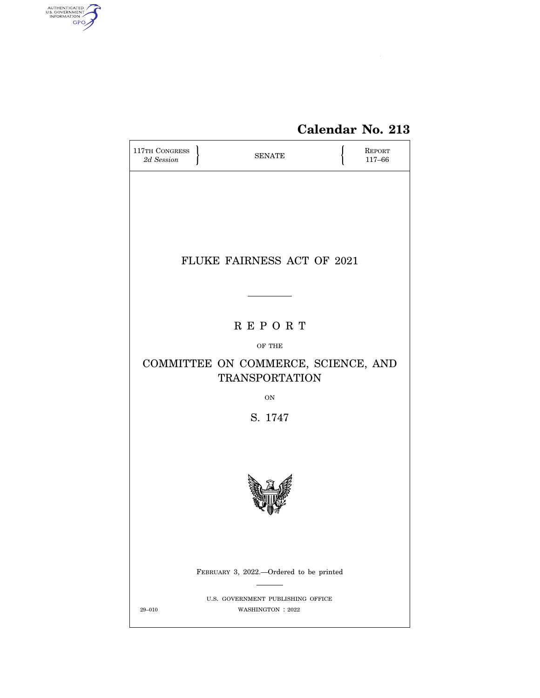

# **Calendar No. 213**

| 117TH CONGRESS<br>2d Session            |  | <b>SENATE</b>                                                |  | <b>REPORT</b><br>117-66 |  |
|-----------------------------------------|--|--------------------------------------------------------------|--|-------------------------|--|
|                                         |  |                                                              |  |                         |  |
|                                         |  |                                                              |  |                         |  |
|                                         |  |                                                              |  |                         |  |
|                                         |  | FLUKE FAIRNESS ACT OF 2021                                   |  |                         |  |
|                                         |  |                                                              |  |                         |  |
|                                         |  | <b>REPORT</b>                                                |  |                         |  |
|                                         |  | OF THE                                                       |  |                         |  |
|                                         |  | COMMITTEE ON COMMERCE, SCIENCE, AND<br><b>TRANSPORTATION</b> |  |                         |  |
|                                         |  | <b>ON</b>                                                    |  |                         |  |
|                                         |  | S. 1747                                                      |  |                         |  |
|                                         |  |                                                              |  |                         |  |
|                                         |  |                                                              |  |                         |  |
|                                         |  |                                                              |  |                         |  |
|                                         |  |                                                              |  |                         |  |
| FEBRUARY 3, 2022.-Ordered to be printed |  |                                                              |  |                         |  |
| $29 - 010$                              |  | U.S. GOVERNMENT PUBLISHING OFFICE<br>WASHINGTON: 2022        |  |                         |  |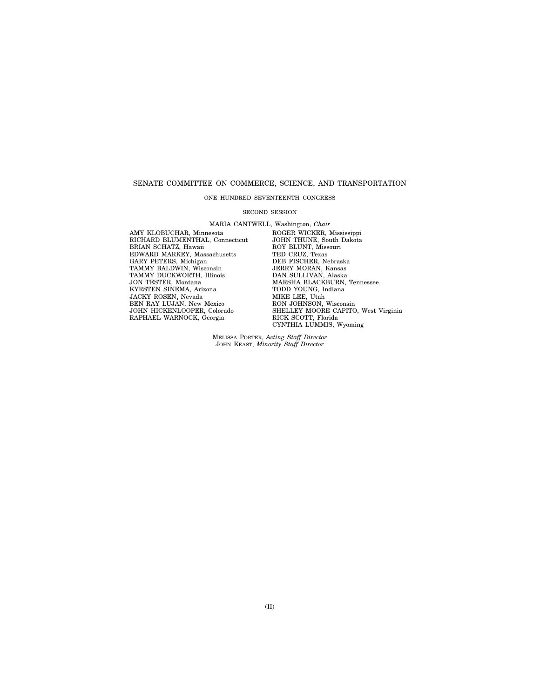# SENATE COMMITTEE ON COMMERCE, SCIENCE, AND TRANSPORTATION

#### ONE HUNDRED SEVENTEENTH CONGRESS

#### SECOND SESSION

MARIA CANTWELL, Washington, *Chair* 

AMY KLOBUCHAR, Minnesota RICHARD BLUMENTHAL, Connecticut BRIAN SCHATZ, Hawaii EDWARD MARKEY, Massachusetts GARY PETERS, Michigan TAMMY BALDWIN, Wisconsin TAMMY DUCKWORTH, Illinois JON TESTER, Montana KYRSTEN SINEMA, Arizona JACKY ROSEN, Nevada<br>BEN RAY LUJAN, New Mexico JOHN HICKENLOOPER, Colorado RAPHAEL WARNOCK, Georgia

ROGER WICKER, Mississippi JOHN THUNE, South Dakota ROY BLUNT, Missouri TED CRUZ, Texas DEB FISCHER, Nebraska JERRY MORAN, Kansas DAN SULLIVAN, Alaska MARSHA BLACKBURN, Tennessee TODD YOUNG, Indiana MIKE LEE, Utah RON JOHNSON, Wisconsin SHELLEY MOORE CAPITO, West Virginia RICK SCOTT, Florida CYNTHIA LUMMIS, Wyoming

MELISSA PORTER, *Acting Staff Director*  JOHN KEAST, *Minority Staff Director*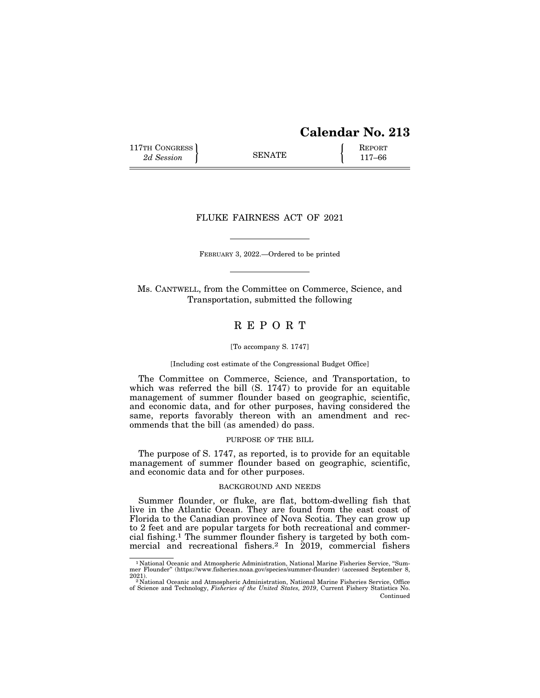# **Calendar No. 213**

117TH CONGRESS **REPORT** 2d Session **117–66** 

# FLUKE FAIRNESS ACT OF 2021

FEBRUARY 3, 2022.—Ordered to be printed

Ms. CANTWELL, from the Committee on Commerce, Science, and Transportation, submitted the following

# R E P O R T

#### [To accompany S. 1747]

#### [Including cost estimate of the Congressional Budget Office]

The Committee on Commerce, Science, and Transportation, to which was referred the bill (S. 1747) to provide for an equitable management of summer flounder based on geographic, scientific, and economic data, and for other purposes, having considered the same, reports favorably thereon with an amendment and recommends that the bill (as amended) do pass.

#### PURPOSE OF THE BILL

The purpose of S. 1747, as reported, is to provide for an equitable management of summer flounder based on geographic, scientific, and economic data and for other purposes.

#### BACKGROUND AND NEEDS

Summer flounder, or fluke, are flat, bottom-dwelling fish that live in the Atlantic Ocean. They are found from the east coast of Florida to the Canadian province of Nova Scotia. They can grow up to 2 feet and are popular targets for both recreational and commercial fishing.1 The summer flounder fishery is targeted by both commercial and recreational fishers.2 In 2019, commercial fishers

<sup>1</sup> National Oceanic and Atmospheric Administration, National Marine Fisheries Service, ''Sum-mer Flounder'' (https://www.fisheries.noaa.gov/species/summer-flounder) (accessed September 8,

<sup>2021).&</sup>lt;br><sup>2</sup> National Oceanic and Atmospheric Administration, National Marine Fisheries Service, Office<br>of Science and Technology, *Fisheries of the United States, 2019*, Current Fishery Statistics No. Continued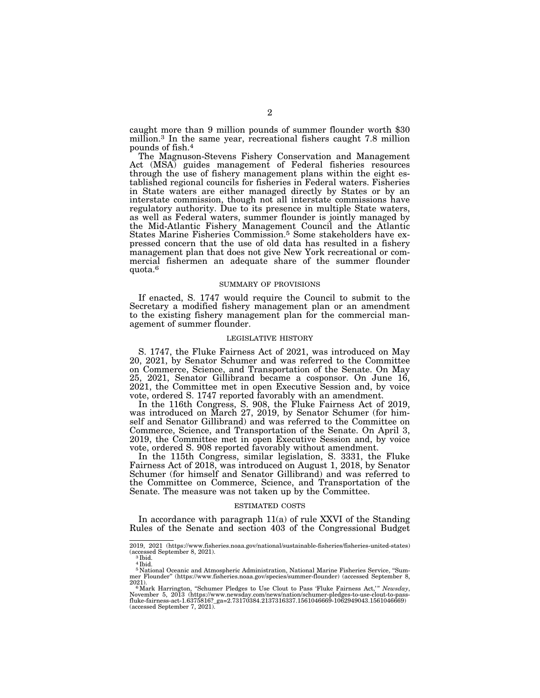caught more than 9 million pounds of summer flounder worth \$30 million.3 In the same year, recreational fishers caught 7.8 million pounds of fish.4

The Magnuson-Stevens Fishery Conservation and Management Act (MSA) guides management of Federal fisheries resources through the use of fishery management plans within the eight established regional councils for fisheries in Federal waters. Fisheries in State waters are either managed directly by States or by an interstate commission, though not all interstate commissions have regulatory authority. Due to its presence in multiple State waters, as well as Federal waters, summer flounder is jointly managed by the Mid-Atlantic Fishery Management Council and the Atlantic States Marine Fisheries Commission.5 Some stakeholders have expressed concern that the use of old data has resulted in a fishery management plan that does not give New York recreational or commercial fishermen an adequate share of the summer flounder quota.6

#### SUMMARY OF PROVISIONS

If enacted, S. 1747 would require the Council to submit to the Secretary a modified fishery management plan or an amendment to the existing fishery management plan for the commercial management of summer flounder.

#### LEGISLATIVE HISTORY

S. 1747, the Fluke Fairness Act of 2021, was introduced on May 20, 2021, by Senator Schumer and was referred to the Committee on Commerce, Science, and Transportation of the Senate. On May 25, 2021, Senator Gillibrand became a cosponsor. On June 16, 2021, the Committee met in open Executive Session and, by voice vote, ordered S. 1747 reported favorably with an amendment.

In the 116th Congress, S. 908, the Fluke Fairness Act of 2019, was introduced on March 27, 2019, by Senator Schumer (for himself and Senator Gillibrand) and was referred to the Committee on Commerce, Science, and Transportation of the Senate. On April 3, 2019, the Committee met in open Executive Session and, by voice vote, ordered S. 908 reported favorably without amendment.

In the 115th Congress, similar legislation, S. 3331, the Fluke Fairness Act of 2018, was introduced on August 1, 2018, by Senator Schumer (for himself and Senator Gillibrand) and was referred to the Committee on Commerce, Science, and Transportation of the Senate. The measure was not taken up by the Committee.

#### ESTIMATED COSTS

In accordance with paragraph 11(a) of rule XXVI of the Standing Rules of the Senate and section 403 of the Congressional Budget

<sup>2019, 2021 (</sup>https://www.fisheries.noaa.gov/national/sustainable-fisheries/fisheries-united-states)  $\frac{2013}{3}$  Cacessed September 8, 2021).

 $4$  Ibid.

<sup>&</sup>lt;sup>5</sup> National Oceanic and Atmospheric Administration, National Marine Fisheries Service, "Summer Flounder" (https://www.fisheries.noaa.gov/species/summer-flounder) (accessed September 8, mer Flounder'' (https://www.fisheries.noaa.gov/species/summer-flounder) (accessed September 8,

<sup>2021).&</sup>lt;br><sup>6</sup> Mark Harrington, "Schumer Pledges to Use Clout to Pass 'Fluke Fairness Act,'" *Newsday*,<br>November 5, 2013 (https://www.newsday.com/news/nation/schumer-pledges-to-use-clout-to-pass-<br>fluke-fairness-act-1.6375816?\_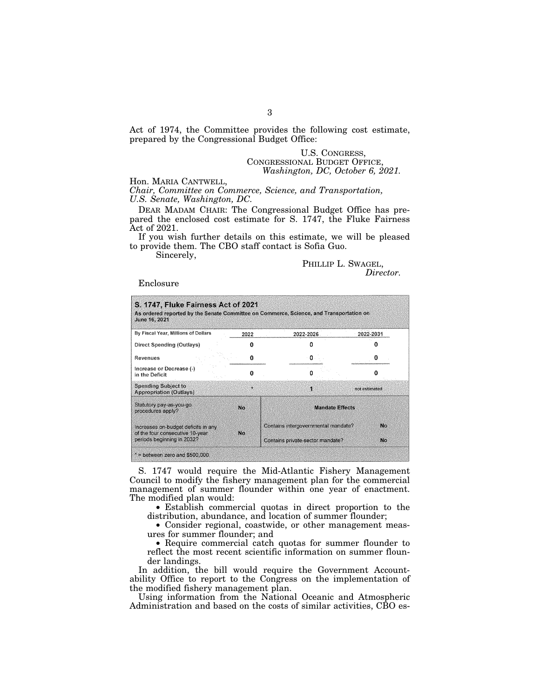Act of 1974, the Committee provides the following cost estimate, prepared by the Congressional Budget Office:

# U.S. CONGRESS, CONGRESSIONAL BUDGET OFFICE, *Washington, DC, October 6, 2021.*

Hon. MARIA CANTWELL,

*Chair, Committee on Commerce, Science, and Transportation, U.S. Senate, Washington, DC.* 

DEAR MADAM CHAIR: The Congressional Budget Office has prepared the enclosed cost estimate for S. 1747, the Fluke Fairness Act of 2021.

If you wish further details on this estimate, we will be pleased to provide them. The CBO staff contact is Sofia Guo.

Sincerely,

PHILLIP L. SWAGEL, *Director.* 

Enclosure

| June 16, 2021                                                           |      | As ordered reported by the Senate Committee on Commerce, Science, and Transportation on |               |
|-------------------------------------------------------------------------|------|-----------------------------------------------------------------------------------------|---------------|
| By Fiscal Year, Millions of Dollars                                     | 2022 | 2022-2026                                                                               | 2022-2031     |
| Direct Spending (Outlays)                                               |      |                                                                                         |               |
| Revenues                                                                | о    | 0                                                                                       |               |
| Increase or Decrease (-)<br>in the Deficit                              | Ω    |                                                                                         |               |
| <b>Spending Subject to</b><br><b>Appropriation (Outlays)</b>            | ж    | Ÿ,                                                                                      | not estimated |
| Statutory pay-as-you-go<br>procedures apply?                            | No   | <b>Mandate Effects</b>                                                                  |               |
| Increases on-budget deficits in any<br>of the four consecutive 10-year. | No   | Contains intergovernmental mandate?                                                     | Nö.           |
| periods beginning in 2032?                                              |      | Contains private-sector mandate?                                                        | No            |

S. 1747 would require the Mid-Atlantic Fishery Management Council to modify the fishery management plan for the commercial management of summer flounder within one year of enactment. The modified plan would:

• Establish commercial quotas in direct proportion to the distribution, abundance, and location of summer flounder;

• Consider regional, coastwide, or other management measures for summer flounder; and

• Require commercial catch quotas for summer flounder to reflect the most recent scientific information on summer flounder landings.

In addition, the bill would require the Government Accountability Office to report to the Congress on the implementation of the modified fishery management plan.

Using information from the National Oceanic and Atmospheric Administration and based on the costs of similar activities, CBO es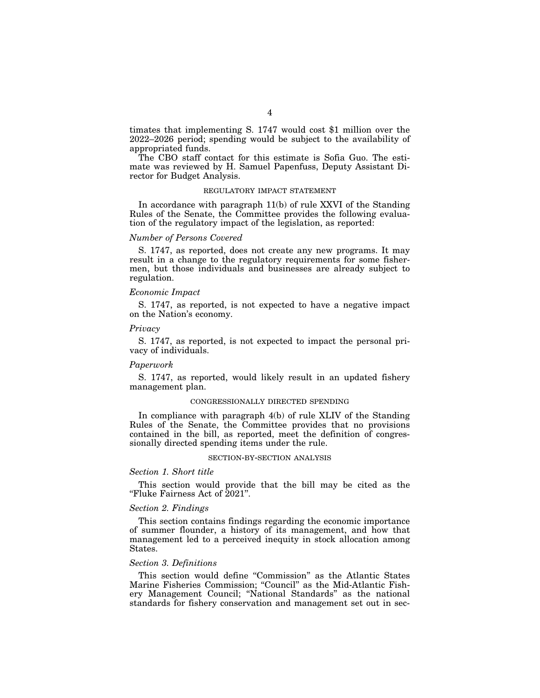timates that implementing S. 1747 would cost \$1 million over the 2022–2026 period; spending would be subject to the availability of appropriated funds.

The CBO staff contact for this estimate is Sofia Guo. The estimate was reviewed by H. Samuel Papenfuss, Deputy Assistant Director for Budget Analysis.

## REGULATORY IMPACT STATEMENT

In accordance with paragraph 11(b) of rule XXVI of the Standing Rules of the Senate, the Committee provides the following evaluation of the regulatory impact of the legislation, as reported:

# *Number of Persons Covered*

S. 1747, as reported, does not create any new programs. It may result in a change to the regulatory requirements for some fishermen, but those individuals and businesses are already subject to regulation.

#### *Economic Impact*

S. 1747, as reported, is not expected to have a negative impact on the Nation's economy.

# *Privacy*

S. 1747, as reported, is not expected to impact the personal privacy of individuals.

#### *Paperwork*

S. 1747, as reported, would likely result in an updated fishery management plan.

# CONGRESSIONALLY DIRECTED SPENDING

In compliance with paragraph 4(b) of rule XLIV of the Standing Rules of the Senate, the Committee provides that no provisions contained in the bill, as reported, meet the definition of congressionally directed spending items under the rule.

#### SECTION-BY-SECTION ANALYSIS

# *Section 1. Short title*

This section would provide that the bill may be cited as the ''Fluke Fairness Act of 2021''.

# *Section 2. Findings*

This section contains findings regarding the economic importance of summer flounder, a history of its management, and how that management led to a perceived inequity in stock allocation among States.

# *Section 3. Definitions*

This section would define ''Commission'' as the Atlantic States Marine Fisheries Commission; "Council" as the Mid-Atlantic Fishery Management Council; ''National Standards'' as the national standards for fishery conservation and management set out in sec